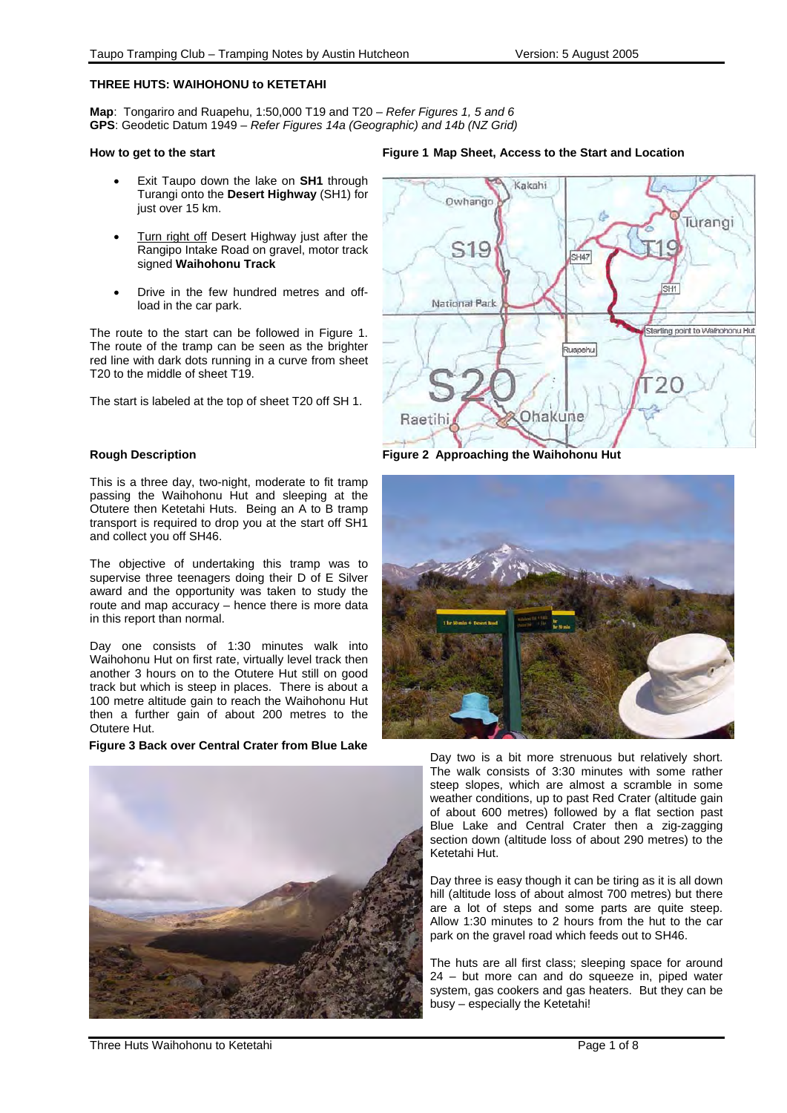# **THREE HUTS: WAIHOHONU to KETETAHI**

**Map**: Tongariro and Ruapehu, 1:50,000 T19 and T20 – *Refer Figures 1, 5 and 6*  **GPS**: Geodetic Datum 1949 – *Refer Figures 14a (Geographic) and 14b (NZ Grid)*

#### **How to get to the start**

- Exit Taupo down the lake on **SH1** through Turangi onto the **Desert Highway** (SH1) for just over 15 km.
- Turn right off Desert Highway just after the Rangipo Intake Road on gravel, motor track signed **Waihohonu Track**
- Drive in the few hundred metres and offload in the car park.

The route to the start can be followed in Figure 1. The route of the tramp can be seen as the brighter red line with dark dots running in a curve from sheet T20 to the middle of sheet T19.

The start is labeled at the top of sheet T20 off SH 1.

# **Rough Description**

This is a three day, two-night, moderate to fit tramp passing the Waihohonu Hut and sleeping at the Otutere then Ketetahi Huts. Being an A to B tramp transport is required to drop you at the start off SH1 and collect you off SH46.

The objective of undertaking this tramp was to supervise three teenagers doing their D of E Silver award and the opportunity was taken to study the route and map accuracy – hence there is more data in this report than normal.

Day one consists of 1:30 minutes walk into Waihohonu Hut on first rate, virtually level track then another 3 hours on to the Otutere Hut still on good track but which is steep in places. There is about a 100 metre altitude gain to reach the Waihohonu Hut then a further gain of about 200 metres to the Otutere Hut.

## **Figure 3 Back over Central Crater from Blue Lake**



## **Figure 1 Map Sheet, Access to the Start and Location**



**Figure 2 Approaching the Waihohonu Hut** 



Day two is a bit more strenuous but relatively short. The walk consists of 3:30 minutes with some rather steep slopes, which are almost a scramble in some weather conditions, up to past Red Crater (altitude gain of about 600 metres) followed by a flat section past Blue Lake and Central Crater then a zig-zagging section down (altitude loss of about 290 metres) to the Ketetahi Hut.

Day three is easy though it can be tiring as it is all down hill (altitude loss of about almost 700 metres) but there are a lot of steps and some parts are quite steep. Allow 1:30 minutes to 2 hours from the hut to the car park on the gravel road which feeds out to SH46.

The huts are all first class; sleeping space for around 24 – but more can and do squeeze in, piped water system, gas cookers and gas heaters. But they can be busy – especially the Ketetahi!

Three Huts Waihohonu to Ketetahi **Page 1 of 8** and 2012 1 of 8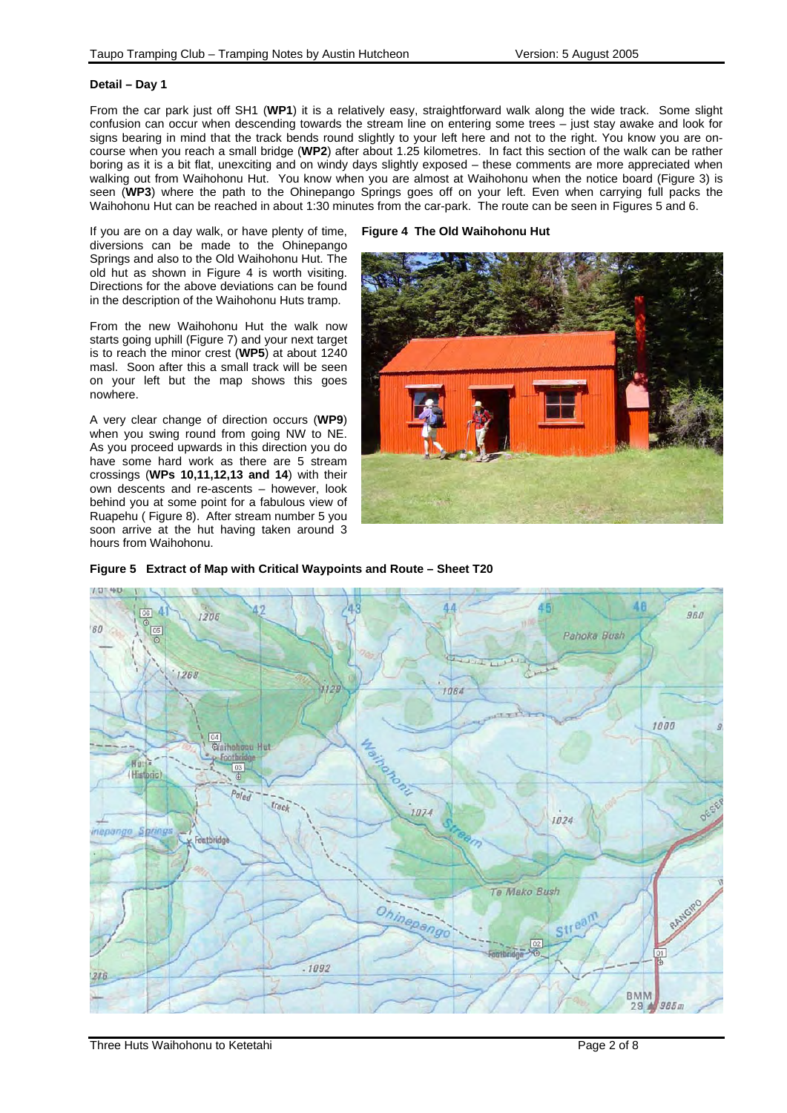## **Detail – Day 1**

From the car park just off SH1 (**WP1**) it is a relatively easy, straightforward walk along the wide track. Some slight confusion can occur when descending towards the stream line on entering some trees – just stay awake and look for signs bearing in mind that the track bends round slightly to your left here and not to the right. You know you are oncourse when you reach a small bridge (**WP2**) after about 1.25 kilometres. In fact this section of the walk can be rather boring as it is a bit flat, unexciting and on windy days slightly exposed – these comments are more appreciated when walking out from Waihohonu Hut. You know when you are almost at Waihohonu when the notice board (Figure 3) is seen (**WP3**) where the path to the Ohinepango Springs goes off on your left. Even when carrying full packs the Waihohonu Hut can be reached in about 1:30 minutes from the car-park. The route can be seen in Figures 5 and 6.

**Figure 4 The Old Waihohonu Hut** 

If you are on a day walk, or have plenty of time, diversions can be made to the Ohinepango Springs and also to the Old Waihohonu Hut. The old hut as shown in Figure 4 is worth visiting. Directions for the above deviations can be found in the description of the Waihohonu Huts tramp.

From the new Waihohonu Hut the walk now starts going uphill (Figure 7) and your next target is to reach the minor crest (**WP5**) at about 1240 masl. Soon after this a small track will be seen on your left but the map shows this goes nowhere.

A very clear change of direction occurs (**WP9**) when you swing round from going NW to NE. As you proceed upwards in this direction you do have some hard work as there are 5 stream crossings (**WPs 10,11,12,13 and 14**) with their own descents and re-ascents – however, look behind you at some point for a fabulous view of Ruapehu ( Figure 8). After stream number 5 you soon arrive at the hut having taken around 3 hours from Waihohonu.



**Figure 5 Extract of Map with Critical Waypoints and Route – Sheet T20** 

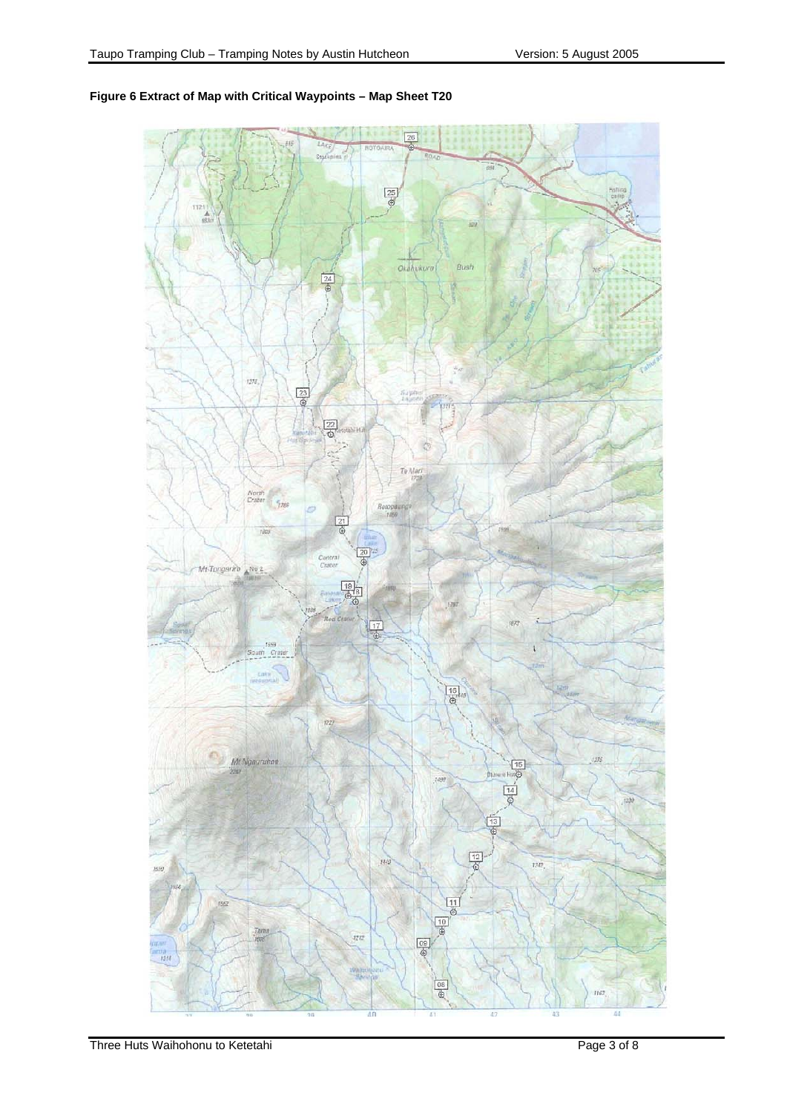

# **Figure 6 Extract of Map with Critical Waypoints – Map Sheet T20**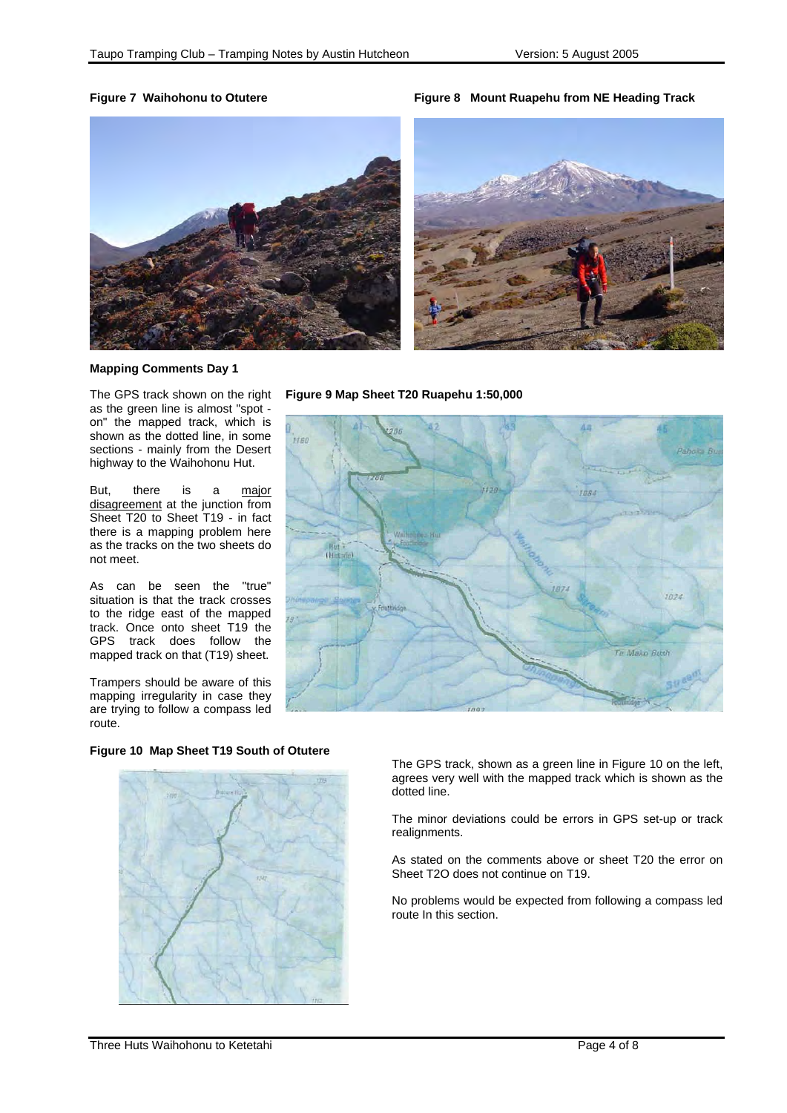**Figure 7 Waihohonu to Otutere Figure 8 Mount Ruapehu from NE Heading Track**





# **Mapping Comments Day 1**

The GPS track shown on the right as the green line is almost "spot on" the mapped track, which is shown as the dotted line, in some sections - mainly from the Desert highway to the Waihohonu Hut.

But, there is a major disagreement at the junction from Sheet T20 to Sheet T19 - in fact there is a mapping problem here as the tracks on the two sheets do not meet.

As can be seen the "true" situation is that the track crosses to the ridge east of the mapped track. Once onto sheet T19 the GPS track does follow the mapped track on that (T19) sheet.

Trampers should be aware of this mapping irregularity in case they are trying to follow a compass led route.

# **Figure 10 Map Sheet T19 South of Otutere**



**Figure 9 Map Sheet T20 Ruapehu 1:50,000** 



The GPS track, shown as a green line in Figure 10 on the left, agrees very well with the mapped track which is shown as the dotted line.

The minor deviations could be errors in GPS set-up or track realignments.

As stated on the comments above or sheet T20 the error on Sheet T2O does not continue on T19.

No problems would be expected from following a compass led route In this section.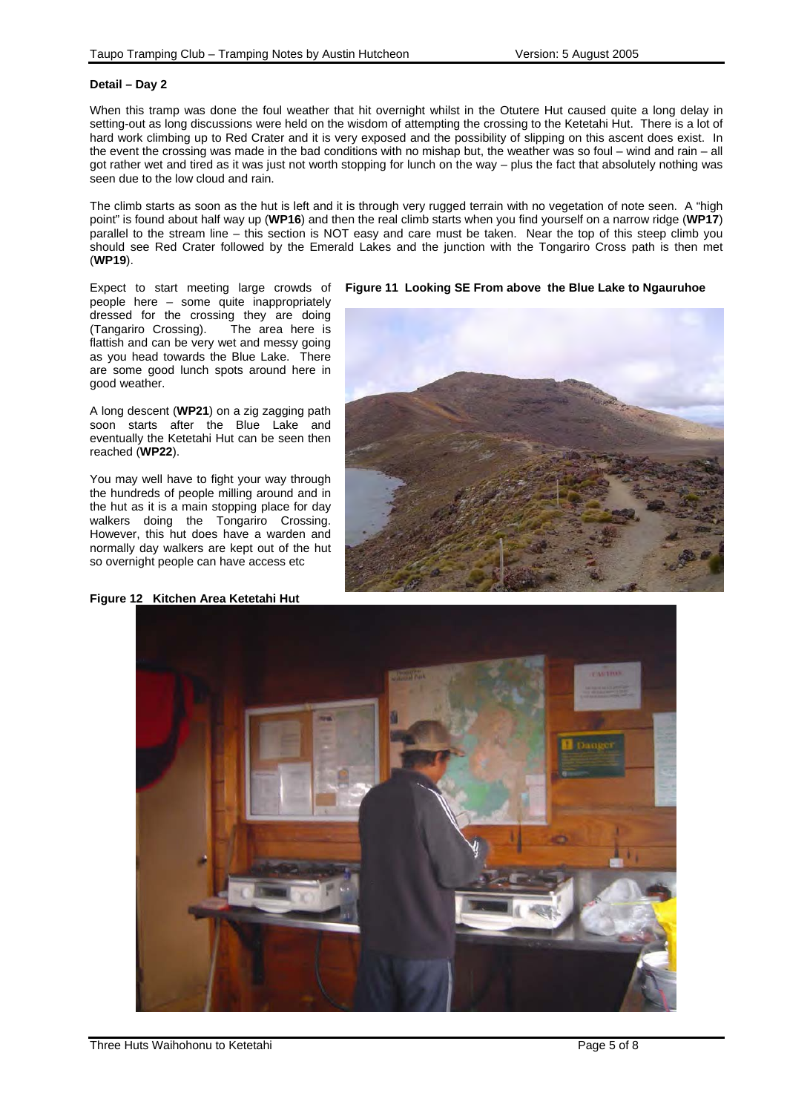#### **Detail – Day 2**

When this tramp was done the foul weather that hit overnight whilst in the Otutere Hut caused quite a long delay in setting-out as long discussions were held on the wisdom of attempting the crossing to the Ketetahi Hut. There is a lot of hard work climbing up to Red Crater and it is very exposed and the possibility of slipping on this ascent does exist. In the event the crossing was made in the bad conditions with no mishap but, the weather was so foul – wind and rain – all got rather wet and tired as it was just not worth stopping for lunch on the way – plus the fact that absolutely nothing was seen due to the low cloud and rain.

The climb starts as soon as the hut is left and it is through very rugged terrain with no vegetation of note seen. A "high point" is found about half way up (**WP16**) and then the real climb starts when you find yourself on a narrow ridge (**WP17**) parallel to the stream line – this section is NOT easy and care must be taken. Near the top of this steep climb you should see Red Crater followed by the Emerald Lakes and the junction with the Tongariro Cross path is then met (**WP19**).

Expect to start meeting large crowds of people here – some quite inappropriately dressed for the crossing they are doing (Tangariro Crossing). The area here is flattish and can be very wet and messy going as you head towards the Blue Lake. There are some good lunch spots around here in good weather.

A long descent (**WP21**) on a zig zagging path soon starts after the Blue Lake and eventually the Ketetahi Hut can be seen then reached (**WP22**).

You may well have to fight your way through the hundreds of people milling around and in the hut as it is a main stopping place for day walkers doing the Tongariro Crossing. However, this hut does have a warden and normally day walkers are kept out of the hut so overnight people can have access etc







# **Figure 11 Looking SE From above the Blue Lake to Ngauruhoe**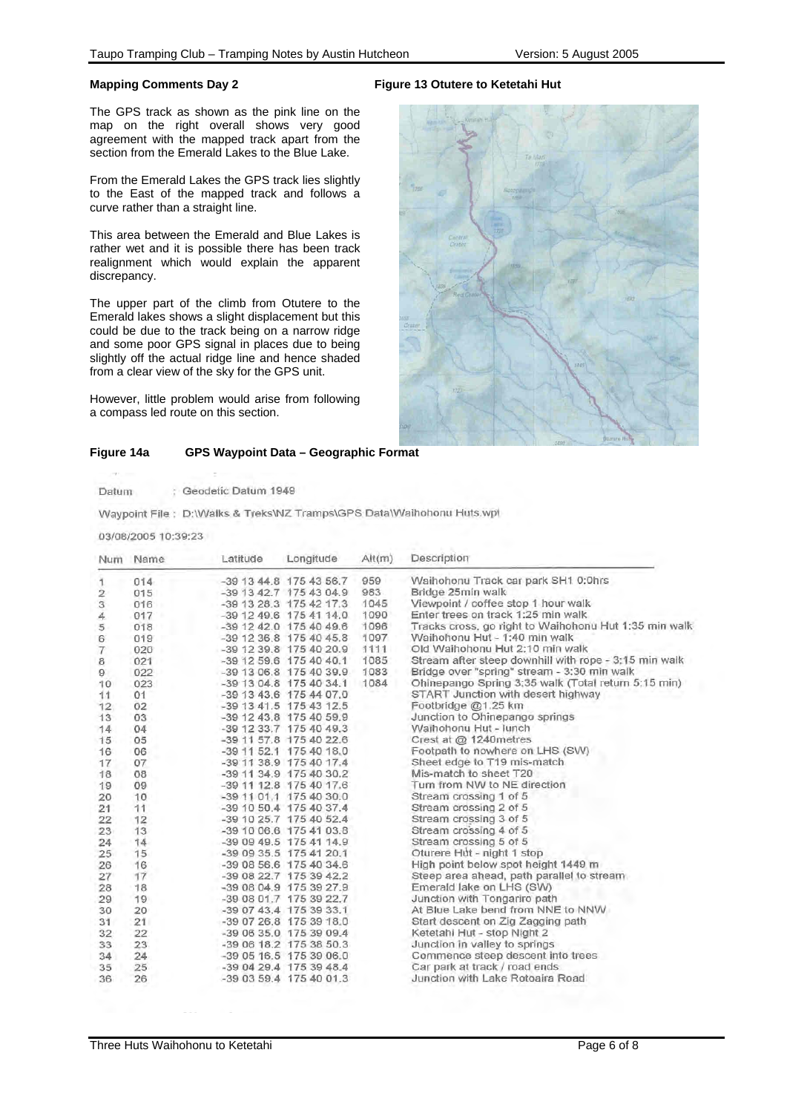#### **Mapping Comments Day 2**

The GPS track as shown as the pink line on the map on the right overall shows very good agreement with the mapped track apart from the section from the Emerald Lakes to the Blue Lake.

From the Emerald Lakes the GPS track lies slightly to the East of the mapped track and follows a curve rather than a straight line.

This area between the Emerald and Blue Lakes is rather wet and it is possible there has been track realignment which would explain the apparent discrepancy.

The upper part of the climb from Otutere to the Emerald lakes shows a slight displacement but this could be due to the track being on a narrow ridge and some poor GPS signal in places due to being slightly off the actual ridge line and hence shaded from a clear view of the sky for the GPS unit.

However, little problem would arise from following a compass led route on this section.

# **Figure 13 Otutere to Ketetahi Hut**



#### **Figure 14a GPS Waypoint Data – Geographic Format**

| Datum | Geodetic Datum 1949 |  |
|-------|---------------------|--|

Waypoint File : D:\\/Valks & Treks\NZ Tramps\GPS Data\\/Vaihohonu Huts.wpl

03/08/2005 10:39:23

| Num                       | Name     | Latitude | Longitude                 | Alt(m) | Description                                           |
|---------------------------|----------|----------|---------------------------|--------|-------------------------------------------------------|
| 1                         | 014      |          | -39 13 44.8 175 43 56.7   | 959    | Waihohonu Track car park SH1 0:0hrs                   |
| $\overline{2}$            | 015      |          | -39 13 42.7 175 43 04.9   | 983    | Bridge 25min walk                                     |
| $\ensuremath{\mathsf{3}}$ | 016      |          | -39 13 28.3 175 42 17.3   | 1045   | Viewpoint / coffee stop 1 hour walk                   |
| 4                         | 017<br>٠ |          | $-39$ 12 49.6 175 41 14.0 | 1090   | Enter trees on track 1:25 min walk                    |
| 5                         | 018      |          | -39 12 42.0 175 40 49.6   | 1096   | Tracks cross, go right to Waihohonu Hut 1:35 min walk |
| 6                         | 019      |          | $-39$ 12 36.8 175 40 45.8 | 1097   | Waihohonu Hut - 1:40 min walk                         |
| $\overline{7}$            | 020      |          | -39 12 39 8 175 40 20.9   | 1111   | Old Waihohonu Hut 2:10 min walk                       |
| 8                         | 021      |          | $-39$ 12 59.6 175 40 40.1 | 1085   | Stream after steep downhill with rope - 3:15 min walk |
| 9                         | 022      |          | -39 13 06.8 175 40 39.9   | 1083   | Bridge over "spring" stream - 3:30 min walk           |
| 10                        | 023      |          | -39 13 04.8 175 40 34.1   | 1084   | Ohinepango Spring 3:35 walk (Total return 5:15 min)   |
| 11                        | 01       |          | -39 13 43.6 175 44 07.0   |        | START Junction with desert highway                    |
| 12                        | 02       |          | -39 13 41.5 175 43 12.5   |        | Footbridge @1.25 km                                   |
| 13                        | 03       |          | $-39$ 12 43.8 175 40 59.9 |        | Junction to Ohinepango springs                        |
| 14.                       | 04       |          | -39 12 33.7 175 40 49.3   |        | Waihohonu Hut - lunch                                 |
| 15                        | 05       |          | -39 11 57.8 175 40 22.6   |        | Crest at @ 1240metres                                 |
| 16                        | 06       |          | -39 11 52.1 175 40 18.0   |        | Footpath to nowhere on LHS (SW)                       |
| 17                        | 07       |          | -39 11 38.9 175 40 17.4   |        | Sheet edge to T19 mis-match                           |
| 18                        | 08       |          | -39 11 34.9 175 40 30.2   |        | Mis-match to sheet T20                                |
| 19                        | 09       |          | -39 11 12.8 175 40 17.6   |        | Turn from NW to NE direction                          |
| 20                        | 10       |          | -39 11 01.1 175 40 30.0   |        | Stream crossing 1 of 5                                |
| 21                        | 11       |          | -39 10 50.4 175 40 37.4   |        | Stream crossing 2 of 5                                |
| 22                        | 12       |          | -39 10 25.7 175 40 52.4   |        | Stream crossing 3 of 5                                |
| 23                        | 13       |          | -39 10 06.6 175 41 03.8   |        | Stream crossing 4 of 5                                |
| 24                        | 14       |          | -39 09 49.5 175 41 14.9   |        | Stream crossing 5 of 5                                |
| 25                        | 15       |          | -39 09 35.5 175 41 20.1   |        | Oturere Hut - night 1 stop                            |
| 26                        | 16       |          | -39 08 56.6 175 40 34.6   |        | High point below spot height 1449 m                   |
| 27                        | 17       |          | -39 08 22.7 175 39 42.2   |        | Steep area ahead, path parallel to stream.            |
| 28                        | 18       |          | -39 08 04.9 175 39 27.9   |        | Emerald lake on LHS (SW)                              |
| 29                        | 19       |          | -39 08 01.7 175 39 22.7   |        | Junction with Tongariro path                          |
| 30                        | 20       |          | -39 07 43.4 175 39 33.1   |        | At Blue Lake bend from NNE to NNW                     |
| 31                        | 21       |          | -39 07 26.8 175 39 18.0   |        | Start descent on Zig Zagging path                     |
| 32                        | 22       |          | -39 06 35.0 175 39 09.4   |        | Ketetahi Hut - stop Night 2                           |
| 33                        | 23       |          | -39 06 18.2 175 38 50.3   |        | Junction in valley to springs                         |
| 34                        | 24       |          | -39 05 16.5 175 39 06.0   |        | Commence steep descent into trees                     |
| 35                        | 25       |          | -39 04 29.4 175 39 48.4   |        | Car park at track / road ends                         |
| 36                        | 26       |          | -39 03 59.4 175 40 01.3   |        | Junction with Lake Rotoaira Road                      |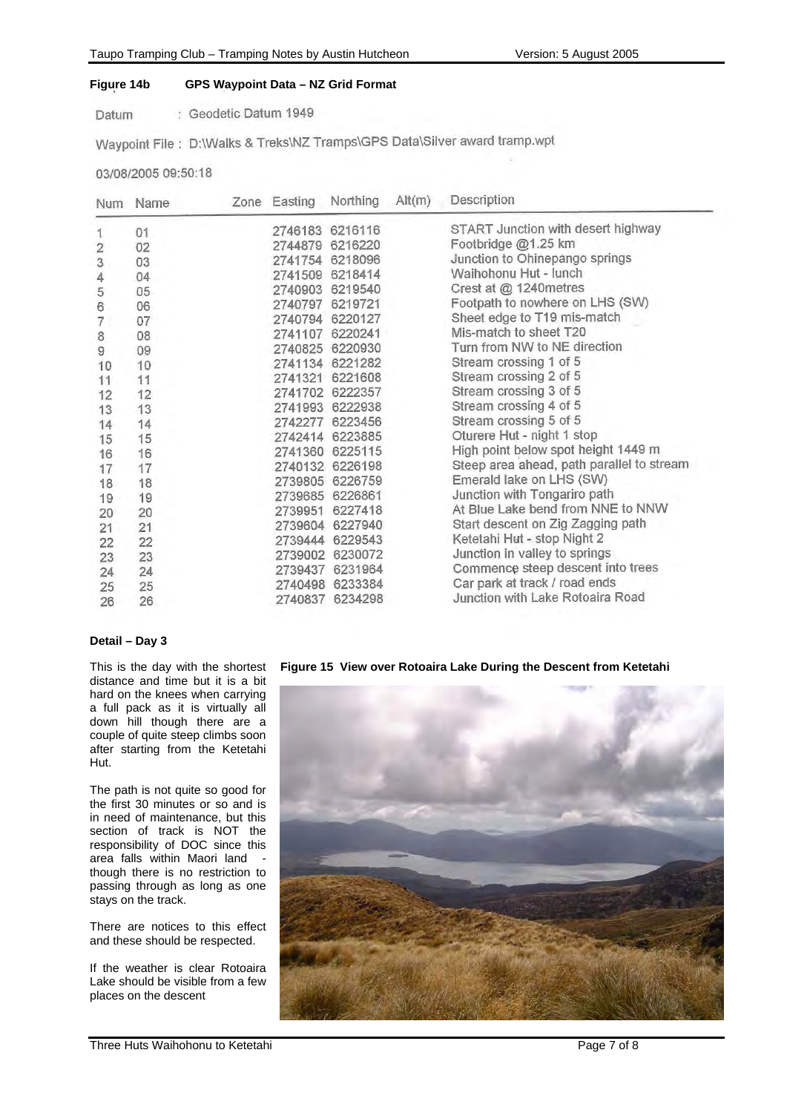# **Figure 14b GPS Waypoint Data – NZ Grid Format**

: Geodetic Datum 1949 Datum

Waypoint File: D:\Walks & Treks\NZ Tramps\GPS Data\Silver award tramp.wpt

03/08/2005 09:50:18

| <b>Num</b>     | Name | Zone Easting | Northing        | Alt(m) | Description                               |
|----------------|------|--------------|-----------------|--------|-------------------------------------------|
| 1.             | 01   |              | 2746183 6216116 |        | START Junction with desert highway        |
| $\overline{2}$ | 02   |              | 2744879 6216220 |        | Footbridge @1.25 km                       |
| 3              | 03   |              | 2741754 6218096 |        | Junction to Ohinepango springs            |
| 4              | 04   |              | 2741509 6218414 |        | Waihohonu Hut - lunch                     |
| 5              | 05   |              | 2740903 6219540 |        | Crest at @ 1240metres                     |
| 6              | 06   |              | 2740797 6219721 |        | Footpath to nowhere on LHS (SW)           |
| $\overline{7}$ | 07   | 2740794      | 6220127         |        | Sheet edge to T19 mis-match               |
| 8              | 08   | 2741107      | 6220241         |        | Mis-match to sheet T20                    |
| 9              | 09   |              | 2740825 6220930 |        | Turn from NW to NE direction              |
| 10             | 10   | 2741134      | 6221282         |        | Stream crossing 1 of 5                    |
| 11             | 11   | 2741321      | 6221608         |        | Stream crossing 2 of 5                    |
| 12             | 12   |              | 2741702 6222357 |        | Stream crossing 3 of 5                    |
| 13             | 13   |              | 2741993 6222938 |        | Stream crossing 4 of 5                    |
| 14             | 14   |              | 2742277 6223456 |        | Stream crossing 5 of 5                    |
| 15             | 15   |              | 2742414 6223885 |        | Oturere Hut - night 1 stop                |
| 16             | 16   |              | 2741360 6225115 |        | High point below spot height 1449 m       |
| 17             | 17   |              | 2740132 6226198 |        | Steep area ahead, path parallel to stream |
| 18             | 18   |              | 2739805 6226759 |        | Emerald lake on LHS (SW)                  |
| 19             | 19   |              | 2739685 6226861 |        | Junction with Tongariro path              |
| 20             | 20   |              | 2739951 6227418 |        | At Blue Lake bend from NNE to NNW         |
| 21             | 21   |              | 2739604 6227940 |        | Start descent on Zig Zagging path         |
| 22             | 22   |              | 2739444 6229543 |        | Ketetahi Hut - stop Night 2               |
| 23             | 23   |              | 2739002 6230072 |        | Junction in valley to springs             |
| 24             | 24   |              | 2739437 6231964 |        | Commence steep descent into trees         |
| 25             | 25   |              | 2740498 6233384 |        | Car park at track / road ends             |
| 26             | 26   |              | 2740837 6234298 |        | Junction with Lake Rotoaira Road          |

## **Detail – Day 3**

This is the day with the shortest distance and time but it is a bit hard on the knees when carrying a full pack as it is virtually all down hill though there are a couple of quite steep climbs soon after starting from the Ketetahi Hut.

The path is not quite so good for the first 30 minutes or so and is in need of maintenance, but this section of track is NOT the responsibility of DOC since this area falls within Maori land though there is no restriction to passing through as long as one stays on the track.

There are notices to this effect and these should be respected.

If the weather is clear Rotoaira Lake should be visible from a few places on the descent

**Figure 15 View over Rotoaira Lake During the Descent from Ketetahi**